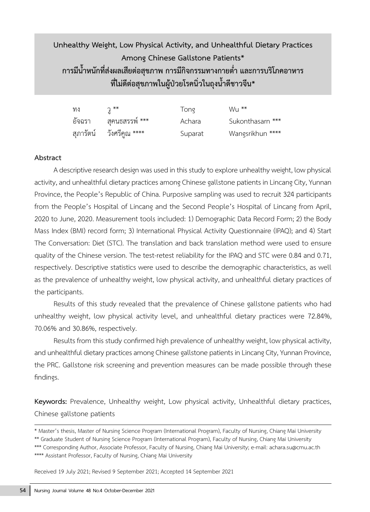# **Unhealthy Weight, Low Physical Activity, and Unhealthful Dietary Practices Among Chinese Gallstone Patients\* การมีน�้าหนักที่ส่งผลเสียต่อสุขภาพ การมีกิจกรรมทางกายต�่า และการบริโภคอาหาร ที่ไม่ดีต่อสุขภาพในผู้ป่วยโรคนิ่วในถุงน�้าดีชาวจีน\***

| ทง     | $\mathfrak{I}$ **        | Tong    | $Wu^*$           |
|--------|--------------------------|---------|------------------|
| อัจฉรา | สุคนธสรรพ์ ***           | Achara  | Sukonthasarn *** |
|        | สุภารัตน์ วังศรีคูณ **** | Suparat | Wangsrikhun **** |

#### **Abstract**

A descriptive research design was used in this study to explore unhealthy weight, low physical activity, and unhealthful dietary practices among Chinese gallstone patients in Lincang City, Yunnan Province, the People's Republic of China. Purposive sampling was used to recruit 324 participants from the People's Hospital of Lincang and the Second People's Hospital of Lincang from April, 2020 to June, 2020. Measurement tools included: 1) Demographic Data Record Form; 2) the Body Mass Index (BMI) record form; 3) International Physical Activity Questionnaire (IPAQ); and 4) Start The Conversation: Diet (STC). The translation and back translation method were used to ensure quality of the Chinese version. The test-retest reliability for the IPAQ and STC were 0.84 and 0.71, respectively. Descriptive statistics were used to describe the demographic characteristics, as well as the prevalence of unhealthy weight, low physical activity, and unhealthful dietary practices of the participants.

Results of this study revealed that the prevalence of Chinese gallstone patients who had unhealthy weight, low physical activity level, and unhealthful dietary practices were 72.84%, 70.06% and 30.86%, respectively.

Results from this study confirmed high prevalence of unhealthy weight, low physical activity, and unhealthful dietary practices among Chinese gallstone patients in Lincang City, Yunnan Province, the PRC. Gallstone risk screening and prevention measures can be made possible through these findings.

**Keywords:** Prevalence, Unhealthy weight, Low physical activity, Unhealthful dietary practices, Chinese gallstone patients

Received 19 July 2021; Revised 9 September 2021; Accepted 14 September 2021

<sup>\*</sup> Master's thesis, Master of Nursing Science Program (International Program), Faculty of Nursing, Chiang Mai University \*\* Graduate Student of Nursing Science Program (International Program), Faculty of Nursing, Chiang Mai University \*\*\* Corresponding Author, Associate Professor, Faculty of Nursing, Chiang Mai University; e-mail: achara.su@cmu.ac.th \*\*\*\* Assistant Professor, Faculty of Nursing, Chiang Mai University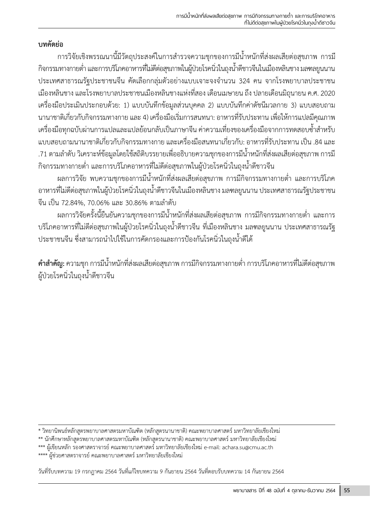# **บทคัดย่อ**

ึการวิจัยเชิงพรรณนานี้มีวัตถุประสงค์ในการสำรวจความชุกของการมีน้ำหนักที่ส่งผลเสียต่อสุขภาพ การมี กิจกรรมทางกายต่ำ และการบริโภคอาหารที่ไม่ดีต่อสุขภาพในผู้ป่วยโรคนิ่วในถุงน้ำดีชาวจีนในเมืองหลินชาง มลฑลยูนนาน ประเทศสาธารณรัฐประชาชนจีน คัดเลือกกลุ่มตัวอย่างแบบเจาะจงจำนวน 324 คน จากโรงพยาบาลประชาชน เมืองหลินชาง และโรงพยาบาลประชาชนเมืองหลินชางแห่งที่สอง เดือนเมษายน ถึง ปลายเดือนมิถุนายน ค.ศ. 2020 เครื่องมือประเมินประกอบด้วย: 1) แบบบันทึกข้อมูลส่วนบุคคล 2) แบบบันทึกค่าดัชนีมวลกาย 3) แบบสอบถาม นานาชาติเกี่ยวกับกิจกรรมทางกาย และ 4) เครื่องมือเริ่มการสนทนา: อาหารที่รับประทาน เพื่อให้การแปลมีคุณภาพ เครื่องมือทุกฉบับผ่านการแปลและแปลย้อนกลับเป็นภาษาจีน ค่าความเที่ยงของเครื่องมือจากการทดสอบซ้ำสำหรับ แบบสอบถามนานาชาติเกี่ยวกับกิจกรรมทางกาย และเครื่องมือสนทนาเกี่ยวกับ: อาหารที่รับประทาน เป็น .84 และ .71 ตามลำดับ วิเคราะห์ข้อมูลโดยใช้สถิติบรรยายเพื่ออธิบายความชุกของการมีน้ำหนักที่ส่งผลเสียต่อสุขภาพ การมี กิจกรรมทางกายต่ำ และการบริโภคอาหารที่ไม่ดีต่อสุขภาพในผู้ป่วยโรคนิ่วในถุงน้ำดีชาวจีน

้ ผลการวิจัย พบความชุกของการมีน้ำหนักที่ส่งผลเสียต่อสุขภาพ การมีกิจกรรมทางกายต่ำ และการบริโภค อาหารที่ไม่ดีต่อสุขภาพในผู้ป่วยโรคนิ่วในถุงน�้าดีชาวจีนในเมืองหลินชาง มลฑลยูนนาน ประเทศสาธารณรัฐประชาชน จีน เป็น 72.84%, 70.06% และ 30.86% ตามลำดับ

ผลการวิจัยครั้งนี้ยืนยันความชุกของการมีน้ำหนักที่ส่งผลเสียต่อสุขภาพ การมีกิจกรรมทางกายต่ำ และการ บริโภคอาหารที่ไม่ดีต่อสุขภาพในผู้ป่วยโรคนิ่วในถุงน�้าดีชาวจีน ที่เมืองหลินชาง มลฑลยูนนาน ประเทศสาธารณรัฐ ้ ประชาชนจีน ซึ่งสามารถนำไปใช้ในการคัดกรองและการป้องกันโรคนิ่วในถุงน้ำดีได้

**คำสำคัญ:** ความชุก การมีน้ำหนักที่ส่งผลเสียต่อสุขภาพ การมีกิจกรรมทางกายต่ำ การบริโภคอาหารที่ไม่ดีต่อสุขภาพ ผู้ป่วยโรคนิ่วในถุงน�้าดีชาวจีน

\* วิทยานิพนธ์หลักสูตรพยาบาลศาสตรมหาบัณฑิต (หลักสูตรนานาชาติ) คณะพยาบาลศาสตร์ มหาวิทยาลัยเชียงใหม่

\*\* นักศึกษาหลักสูตรพยาบาลศาสตรมหาบัณฑิต (หลักสูตรนานาชาติ) คณะพยาบาลศาสตร์ มหาวิทยาลัยเชียงใหม่

\*\*\* ผู้เขียนหลัก รองศาสตราจารย์ คณะพยาบาลศาสตร์ มหาวิทยาลัยเชียงใหม่ e-mail: achara.su@cmu.ac.th

\*\*\*\* ผู้ช่วยศาสตราจารย์ คณะพยาบาลศาสตร์ มหาวิทยาลัยเชียงใหม่

วันที่รับบทความ 19 กรกฎาคม 2564 วันที่แก้ไขบทความ 9 กันยายน 2564 วันที่ตอบรับบทความ 14 กันยายน 2564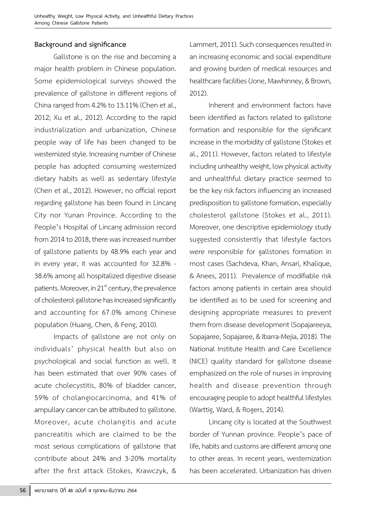# **Background and significance**

Gallstone is on the rise and becoming a major health problem in Chinese population. Some epidemiological surveys showed the prevalence of gallstone in different regions of China ranged from 4.2% to 13.11% (Chen et al., 2012; Xu et al., 2012). According to the rapid industrialization and urbanization, Chinese people way of life has been changed to be westernized style. Increasing number of Chinese people has adopted consuming westernized dietary habits as well as sedentary lifestyle (Chen et al., 2012). However, no official report regarding gallstone has been found in Lincang City nor Yunan Province. According to the People's Hospital of Lincang admission record from 2014 to 2018, there was increased number of gallstone patients by 48.9% each year and in every year, it was accounted for 32.8% - 38.6% among all hospitalized digestive disease patients. Moreover, in  $21<sup>st</sup>$  century, the prevalence of cholesterol gallstone has increased significantly and accounting for 67.0% among Chinese population (Huang, Chen, & Feng, 2010).

Impacts of gallstone are not only on individuals' physical health but also on psychological and social function as well. It has been estimated that over 90% cases of acute cholecystitis, 80% of bladder cancer, 59% of cholangiocarcinoma, and 41% of ampullary cancer can be attributed to gallstone. Moreover, acute cholangitis and acute pancreatitis which are claimed to be the most serious complications of gallstone that contribute about 24% and 3-20% mortality after the first attack (Stokes, Krawczyk, &

Lammert, 2011). Such consequences resulted in an increasing economic and social expenditure and growing burden of medical resources and healthcare facilities (Jone, Mawhinney, & Brown, 2012).

Inherent and environment factors have been identified as factors related to gallstone formation and responsible for the significant increase in the morbidity of gallstone (Stokes et al., 2011). However, factors related to lifestyle including unhealthy weight, low physical activity and unhealthful dietary practice seemed to be the key risk factors influencing an increased predisposition to gallstone formation, especially cholesterol gallstone (Stokes et al., 2011). Moreover, one descriptive epidemiology study suggested consistently that lifestyle factors were responsible for gallstones formation in most cases (Sachdeva, Khan, Ansari, Khalique, & Anees, 2011). Prevalence of modifiable risk factors among patients in certain area should be identified as to be used for screening and designing appropriate measures to prevent them from disease development (Sopajareeya, Sopajaree, Sopajaree, & Ibarra-Mejia, 2018). The National Institute Health and Care Excellence (NICE) quality standard for gallstone disease emphasized on the role of nurses in improving health and disease prevention through encouraging people to adopt healthful lifestyles (Warttig, Ward, & Rogers, 2014).

Lincang city is located at the Southwest border of Yunnan province. People's pace of life, habits and customs are different among one to other areas. In recent years, westernization has been accelerated. Urbanization has driven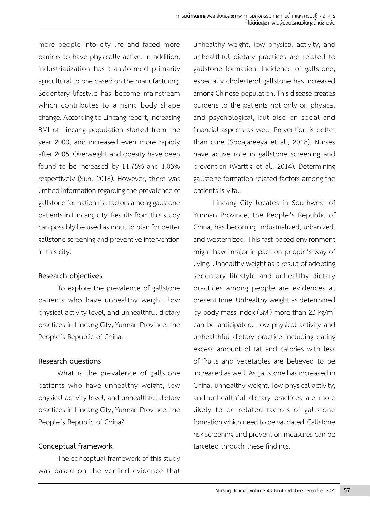more people into city life and faced more barriers to have physically active. In addition, industrialization has transformed primarily agricultural to one based on the manufacturing. Sedentary lifestyle has become mainstream which contributes to a rising body shape change. According to Lincang report, increasing BMI of Lincang population started from the year 2000, and increased even more rapidly after 2005. Overweight and obesity have been found to be increased by 11.75% and 1.03% respectively (Sun, 2018). However, there was limited information regarding the prevalence of gallstone formation risk factors among gallstone patients in Lincang city. Results from this study can possibly be used as input to plan for better gallstone screening and preventive intervention in this city.

#### **Research objectives**

To explore the prevalence of gallstone patients who have unhealthy weight, low physical activity level, and unhealthful dietary practices in Lincang City, Yunnan Province, the People's Republic of China.

# **Research questions**

What is the prevalence of gallstone patients who have unhealthy weight, low physical activity level, and unhealthful dietary practices in Lincang City, Yunnan Province, the People's Republic of China?

# **Conceptual framework**

The conceptual framework of this study was based on the verified evidence that

unhealthy weight, low physical activity, and unhealthful dietary practices are related to gallstone formation. Incidence of gallstone, especially cholesterol gallstone has increased among Chinese population. This disease creates burdens to the patients not only on physical and psychological, but also on social and financial aspects as well. Prevention is better than cure (Sopajareeya et al., 2018). Nurses have active role in gallstone screening and prevention (Warttig et al., 2014). Determining gallstone formation related factors among the patients is vital.

Lincang City locates in Southwest of Yunnan Province, the People's Republic of China, has becoming industrialized, urbanized, and westernized. This fast-paced environment might have major impact on people's way of living. Unhealthy weight as a result of adopting sedentary lifestyle and unhealthy dietary practices among people are evidences at present time. Unhealthy weight as determined by body mass index (BMI) more than 23 kg/ $m^2$ can be anticipated. Low physical activity and unhealthful dietary practice including eating excess amount of fat and calories with less of fruits and vegetables are believed to be increased as well. As gallstone has increased in China, unhealthy weight, low physical activity, and unhealthful dietary practices are more likely to be related factors of gallstone formation which need to be validated. Gallstone risk screening and prevention measures can be targeted through these findings.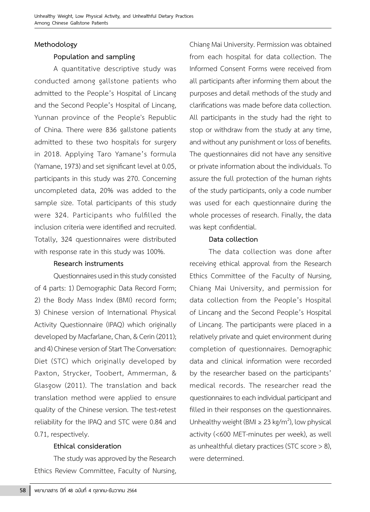#### **Methodology**

# **Population and sampling**

A quantitative descriptive study was conducted among gallstone patients who admitted to the People's Hospital of Lincang and the Second People's Hospital of Lincang, Yunnan province of the People's Republic of China. There were 836 gallstone patients admitted to these two hospitals for surgery in 2018. Applying Taro Yamane's formula (Yamane, 1973) and set significant level at 0.05, participants in this study was 270. Concerning uncompleted data, 20% was added to the sample size. Total participants of this study were 324. Participants who fulfilled the inclusion criteria were identified and recruited. Totally, 324 questionnaires were distributed with response rate in this study was 100%.

#### **Research instruments**

Questionnaires used in this study consisted of 4 parts: 1) Demographic Data Record Form; 2) the Body Mass Index (BMI) record form; 3) Chinese version of International Physical Activity Questionnaire (IPAQ) which originally developed by Macfarlane, Chan, & Cerin (2011); and 4) Chinese version of Start The Conversation: Diet (STC) which originally developed by Paxton, Strycker, Toobert, Ammerman, & Glasgow (2011). The translation and back translation method were applied to ensure quality of the Chinese version. The test-retest reliability for the IPAQ and STC were 0.84 and 0.71, respectively.

# **Ethical consideration**

The study was approved by the Research Ethics Review Committee, Faculty of Nursing, Chiang Mai University. Permission was obtained from each hospital for data collection. The Informed Consent Forms were received from all participants after informing them about the purposes and detail methods of the study and clarifications was made before data collection. All participants in the study had the right to stop or withdraw from the study at any time, and without any punishment or loss of benefits. The questionnaires did not have any sensitive or private information about the individuals. To assure the full protection of the human rights of the study participants, only a code number was used for each questionnaire during the whole processes of research. Finally, the data was kept confidential.

# **Data collection**

The data collection was done after receiving ethical approval from the Research Ethics Committee of the Faculty of Nursing, Chiang Mai University, and permission for data collection from the People's Hospital of Lincang and the Second People's Hospital of Lincang. The participants were placed in a relatively private and quiet environment during completion of questionnaires. Demographic data and clinical information were recorded by the researcher based on the participants' medical records. The researcher read the questionnaires to each individual participant and filled in their responses on the questionnaires. Unhealthy weight (BMI  $\geq 23$  kg/m<sup>2</sup>), low physical activity (<600 MET-minutes per week), as well as unhealthful dietary practices (STC score > 8), were determined.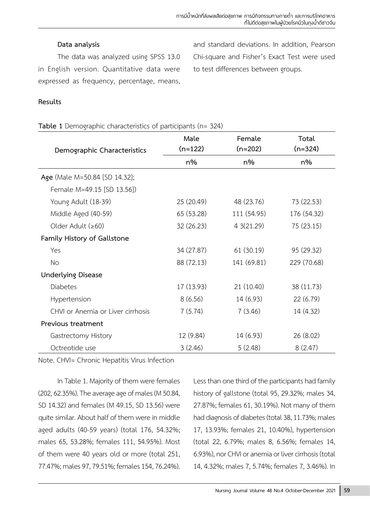#### **Data analysis**

The data was analyzed using SPSS 13.0 in English version. Quantitative data were expressed as frequency, percentage, means,

and standard deviations. In addition, Pearson Chi-square and Fisher's Exact Test were used to test differences between groups.

#### **Results**

#### **Table 1** Demographic characteristics of participants (n= 324)

| Demographic Characteristics       | Male<br>$(n=122)$ | Female<br>$(n=202)$ | Total<br>$(n=324)$ |  |
|-----------------------------------|-------------------|---------------------|--------------------|--|
|                                   | $n\%$             | $n\%$               | n%                 |  |
| Age (Male M=50.84 [SD 14.32];     |                   |                     |                    |  |
| Female M=49.15 [SD 13.56])        |                   |                     |                    |  |
| Young Adult (18-39)               | 25 (20.49)        | 48 (23.76)          | 73 (22.53)         |  |
| Middle Aged (40-59)               | 65 (53.28)        | 111 (54.95)         | 176 (54.32)        |  |
| Older Adult $(≥60)$               | 32 (26.23)        | 43(21.29)           | 75 (23.15)         |  |
| Family History of Gallstone       |                   |                     |                    |  |
| Yes                               | 34 (27.87)        | 61 (30.19)          | 95 (29.32)         |  |
| <b>No</b>                         | 88 (72.13)        | 141 (69.81)         | 229 (70.68)        |  |
| <b>Underlying Disease</b>         |                   |                     |                    |  |
| Diabetes                          | 17 (13.93)        | 21 (10.40)          | 38 (11.73)         |  |
| Hypertension                      | 8(6.56)           | 14 (6.93)           | 22 (6.79)          |  |
| CHVI or Anemia or Liver cirrhosis | 7(5.74)           | 7(3.46)             | 14 (4.32)          |  |
| Previous treatment                |                   |                     |                    |  |
| Gastrectomy History               | 12 (9.84)         | 14 (6.93)           | 26 (8.02)          |  |
| Octreotide use                    | 3(2.46)           | 5(2.48)             | 8(2.47)            |  |

Note. CHVI= Chronic Hepatitis Virus Infection

In Table 1. Majority of them were females (202, 62.35%). The average age of males (M 50.84, SD 14.32) and females (M 49.15, SD 13.56) were quite similar. About half of them were in middle aged adults (40-59 years) (total 176, 54.32%; males 65, 53.28%; females 111, 54.95%). Most of them were 40 years old or more (total 251, 77.47%; males 97, 79.51%; females 154, 76.24%).

Less than one third of the participants had family history of gallstone (total 95, 29.32%; males 34, 27.87%; females 61, 30.19%). Not many of them had diagnosis of diabetes (total 38, 11.73%; males 17, 13.93%; females 21, 10.40%), hypertension (total 22, 6.79%; males 8, 6.56%; females 14, 6.93%), nor CHVI or anemia or liver cirrhosis (total 14, 4.32%; males 7, 5.74%; females 7, 3.46%). In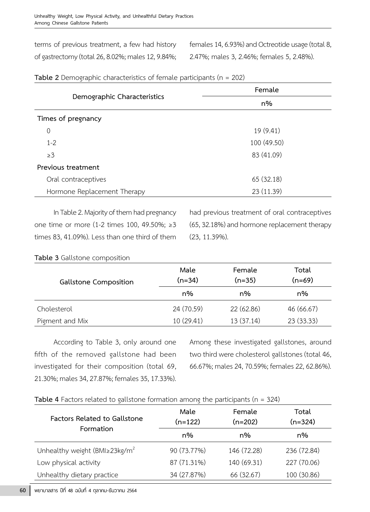terms of previous treatment, a few had history of gastrectomy (total 26, 8.02%; males 12, 9.84%; females 14, 6.93%) and Octreotide usage (total 8, 2.47%; males 3, 2.46%; females 5, 2.48%).

|                             | Female      |  |  |
|-----------------------------|-------------|--|--|
| Demographic Characteristics | n%          |  |  |
| Times of pregnancy          |             |  |  |
| 0                           | 19 (9.41)   |  |  |
| $1 - 2$                     | 100 (49.50) |  |  |
| $\geq$ 3                    | 83 (41.09)  |  |  |
| Previous treatment          |             |  |  |
| Oral contraceptives         | 65 (32.18)  |  |  |
| Hormone Replacement Therapy | 23 (11.39)  |  |  |

| Table 2 Demographic characteristics of female participants ( $n = 202$ ) |
|--------------------------------------------------------------------------|
|--------------------------------------------------------------------------|

In Table 2. Majority of them had pregnancy one time or more (1-2 times 100, 49.50%; ≥3 times 83, 41.09%). Less than one third of them

had previous treatment of oral contraceptives (65, 32.18%) and hormone replacement therapy (23, 11.39%).

| <b>Gallstone Composition</b> | Male<br>$(n=34)$ | Female<br>$(n=35)$ | Total<br>$(n=69)$ |  |
|------------------------------|------------------|--------------------|-------------------|--|
|                              | n%               | n%                 | n%                |  |
| Cholesterol                  | 24 (70.59)       | 22 (62.86)         | 46 (66.67)        |  |
| Pigment and Mix              | 10 (29.41)       | 13 (37.14)         | 23 (33.33)        |  |

**Table 3** Gallstone composition

According to Table 3, only around one fifth of the removed gallstone had been investigated for their composition (total 69, 21.30%; males 34, 27.87%; females 35, 17.33%).

Among these investigated gallstones, around two third were cholesterol gallstones (total 46, 66.67%; males 24, 70.59%; females 22, 62.86%).

|--|

| <b>Factors Related to Gallstone</b>              | Male<br>$(n=122)$ | Female<br>$(n=202)$ | Total<br>$(n=324)$ |  |
|--------------------------------------------------|-------------------|---------------------|--------------------|--|
| Formation                                        | n%                | n%                  | n%                 |  |
| Unhealthy weight (BMI $\geq$ 23kg/m <sup>2</sup> | 90 (73.77%)       | 146 (72.28)         | 236 (72.84)        |  |
| Low physical activity                            | 87 (71.31%)       | 140 (69.31)         | 227 (70.06)        |  |
| Unhealthy dietary practice                       | 34 (27.87%)       | 66 (32.67)          | 100 (30.86)        |  |

 $60$   $\,$  พยาบาลสาร ปีที่ 48 ฉบับที่ 4 ตุลาคม-ธันวาคม 2564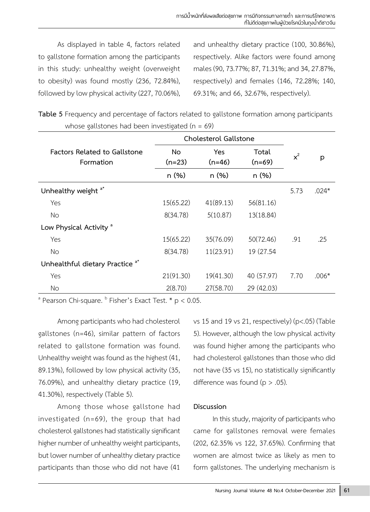As displayed in table 4, factors related to gallstone formation among the participants in this study: unhealthy weight (overweight to obesity) was found mostly (236, 72.84%), followed by low physical activity (227, 70.06%), and unhealthy dietary practice (100, 30.86%), respectively. Alike factors were found among males (90, 73.77%; 87, 71.31%; and 34, 27.87%, respectively) and females (146, 72.28%; 140, 69.31%; and 66, 32.67%, respectively).

**Table 5** Frequency and percentage of factors related to gallstone formation among participants whose gallstones had been investigated ( $n = 69$ )

|                                                  | Cholesterol Gallstone |                        |                   |       |         |
|--------------------------------------------------|-----------------------|------------------------|-------------------|-------|---------|
| <b>Factors Related to Gallstone</b><br>Formation | No.<br>$(n=23)$       | <b>Yes</b><br>$(n=46)$ | Total<br>$(n=69)$ | $x^2$ | p       |
|                                                  | n(%)                  | n(%)                   | n (%)             |       |         |
| Unhealthy weight <sup>a*</sup>                   |                       |                        |                   | 5.73  | $.024*$ |
| Yes                                              | 15(65.22)             | 41(89.13)              | 56(81.16)         |       |         |
| No.                                              | 8(34.78)              | 5(10.87)               | 13(18.84)         |       |         |
| Low Physical Activity <sup>a</sup>               |                       |                        |                   |       |         |
| Yes                                              | 15(65.22)             | 35(76.09)              | 50(72.46)         | .91   | .25     |
| No                                               | 8(34.78)              | 11(23.91)              | 19 (27.54)        |       |         |
| Unhealthful dietary Practice <sup>a*</sup>       |                       |                        |                   |       |         |
| Yes                                              | 21(91.30)             | 19(41.30)              | 40 (57.97)        | 7.70  | $.006*$ |
| No.                                              | 2(8.70)               | 27(58.70)              | 29 (42.03)        |       |         |

<sup>a</sup> Pearson Chi-square. <sup>b</sup> Fisher's Exact Test.  $*$  p < 0.05.

Among participants who had cholesterol gallstones (n=46), similar pattern of factors related to gallstone formation was found. Unhealthy weight was found as the highest (41, 89.13%), followed by low physical activity (35, 76.09%), and unhealthy dietary practice (19, 41.30%), respectively (Table 5).

Among those whose gallstone had investigated (n=69), the group that had cholesterol gallstones had statistically significant higher number of unhealthy weight participants, but lower number of unhealthy dietary practice participants than those who did not have (41

vs 15 and 19 vs 21, respectively) (p<.05) (Table 5). However, although the low physical activity was found higher among the participants who had cholesterol gallstones than those who did not have (35 vs 15), no statistically significantly difference was found ( $p > .05$ ).

# **Discussion**

In this study, majority of participants who came for gallstones removal were females (202, 62.35% vs 122, 37.65%). Confirming that women are almost twice as likely as men to form gallstones. The underlying mechanism is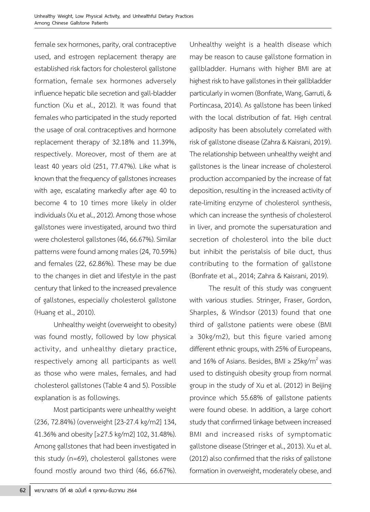female sex hormones, parity, oral contraceptive used, and estrogen replacement therapy are established risk factors for cholesterol gallstone formation, female sex hormones adversely influence hepatic bile secretion and gall-bladder function (Xu et al., 2012). It was found that females who participated in the study reported the usage of oral contraceptives and hormone replacement therapy of 32.18% and 11.39%, respectively. Moreover, most of them are at least 40 years old (251, 77.47%). Like what is known that the frequency of gallstones increases with age, escalating markedly after age 40 to become 4 to 10 times more likely in older individuals (Xu et al., 2012). Among those whose gallstones were investigated, around two third were cholesterol gallstones (46, 66.67%). Similar patterns were found among males (24, 70.59%) and females (22, 62.86%). These may be due to the changes in diet and lifestyle in the past century that linked to the increased prevalence of gallstones, especially cholesterol gallstone (Huang et al., 2010).

Unhealthy weight (overweight to obesity) was found mostly, followed by low physical activity, and unhealthy dietary practice, respectively among all participants as well as those who were males, females, and had cholesterol gallstones (Table 4 and 5). Possible explanation is as followings.

Most participants were unhealthy weight (236, 72.84%) (overweight [23-27.4 kg/m2] 134, 41.36% and obesity [≥27.5 kg/m2] 102, 31.48%). Among gallstones that had been investigated in this study (n=69), cholesterol gallstones were found mostly around two third (46, 66.67%).

Unhealthy weight is a health disease which may be reason to cause gallstone formation in gallbladder. Humans with higher BMI are at highest risk to have gallstones in their gallbladder particularly in women (Bonfrate, Wang, Garruti, & Portincasa, 2014). As gallstone has been linked with the local distribution of fat. High central adiposity has been absolutely correlated with risk of gallstone disease (Zahra & Kaisrani, 2019). The relationship between unhealthy weight and gallstones is the linear increase of cholesterol production accompanied by the increase of fat deposition, resulting in the increased activity of rate-limiting enzyme of cholesterol synthesis, which can increase the synthesis of cholesterol in liver, and promote the supersaturation and secretion of cholesterol into the bile duct but inhibit the peristalsis of bile duct, thus contributing to the formation of gallstone (Bonfrate et al., 2014; Zahra & Kaisrani, 2019).

The result of this study was congruent with various studies. Stringer, Fraser, Gordon, Sharples, & Windsor (2013) found that one third of gallstone patients were obese (BMI ≥ 30kg/m2), but this figure varied among different ethnic groups, with 25% of Europeans, and 16% of Asians. Besides, BMI ≥ 25kg/m<sup>2</sup> was used to distinguish obesity group from normal group in the study of Xu et al. (2012) in Beijing province which 55.68% of gallstone patients were found obese. In addition, a large cohort study that confirmed linkage between increased BMI and increased risks of symptomatic gallstone disease (Stringer et al., 2013). Xu et al. (2012) also confirmed that the risks of gallstone formation in overweight, moderately obese, and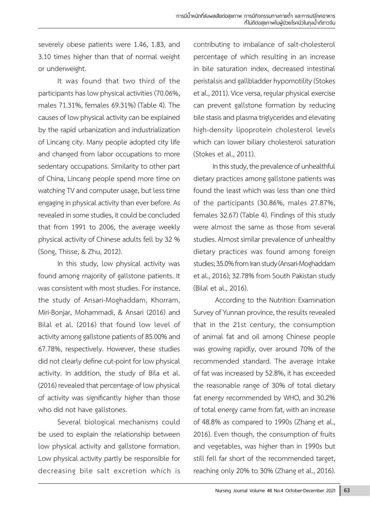severely obese patients were 1.46, 1.83, and 3.10 times higher than that of normal weight or underweight.

It was found that two third of the participants has low physical activities (70.06%, males 71.31%, females 69.31%) (Table 4). The causes of low physical activity can be explained by the rapid urbanization and industrialization of Lincang city. Many people adopted city life and changed from labor occupations to more sedentary occupations. Similarity to other part of China, Lincang people spend more time on watching TV and computer usage, but less time engaging in physical activity than ever before. As revealed in some studies, it could be concluded that from 1991 to 2006, the average weekly physical activity of Chinese adults fell by 32 % (Song, Thisse, & Zhu, 2012).

In this study, low physical activity was found among majority of gallstone patients. It was consistent with most studies. For instance, the study of Ansari-Moghaddam, Khorram, Miri-Bonjar, Mohammadi, & Ansari (2016) and Bilal et al. (2016) that found low level of activity among gallstone patients of 85.00% and 67.78%, respectively. However, these studies did not clearly define cut-point for low physical activity. In addition, the study of Bila et al. (2016) revealed that percentage of low physical of activity was significantly higher than those who did not have gallstones.

Several biological mechanisms could be used to explain the relationship between low physical activity and gallstone formation. Low physical activity partly be responsible for decreasing bile salt excretion which is contributing to imbalance of salt-cholesterol percentage of which resulting in an increase in bile saturation index, decreased intestinal peristalsis and gallbladder hypomotility (Stokes et al., 2011). Vice versa, regular physical exercise can prevent gallstone formation by reducing bile stasis and plasma triglycerides and elevating high-density lipoprotein cholesterol levels which can lower biliary cholesterol saturation (Stokes et al., 2011).

In this study, the prevalence of unhealthful dietary practices among gallstone patients was found the least which was less than one third of the participants (30.86%, males 27.87%, females 32.67) (Table 4). Findings of this study were almost the same as those from several studies. Almost similar prevalence of unhealthy dietary practices was found among foreign studies; 35.0% from Iran study (Ansari-Moghaddam et al., 2016); 32.78% from South Pakistan study (Bilal et al., 2016).

 According to the Nutrition Examination Survey of Yunnan province, the results revealed that in the 21st century, the consumption of animal fat and oil among Chinese people was growing rapidly, over around 70% of the recommended standard. The average intake of fat was increased by 52.8%, it has exceeded the reasonable range of 30% of total dietary fat energy recommended by WHO, and 30.2% of total energy came from fat, with an increase of 48.8% as compared to 1990s (Zhang et al., 2016). Even though, the consumption of fruits and vegetables, was higher than in 1990s but still fell far short of the recommended target, reaching only 20% to 30% (Zhang et al., 2016).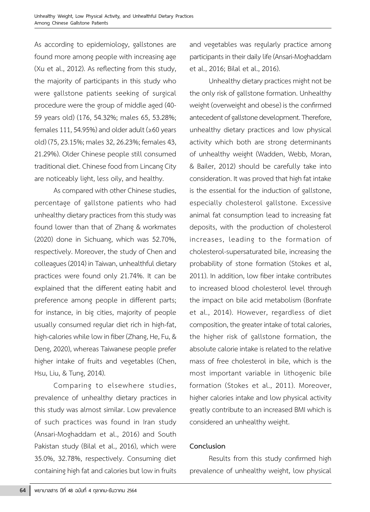As according to epidemiology, gallstones are found more among people with increasing age (Xu et al., 2012). As reflecting from this study, the majority of participants in this study who were gallstone patients seeking of surgical procedure were the group of middle aged (40- 59 years old) (176, 54.32%; males 65, 53.28%; females 111, 54.95%) and older adult ( $\geq 60$  years old) (75, 23.15%; males 32, 26.23%; females 43, 21.29%). Older Chinese people still consumed traditional diet. Chinese food from Lincang City are noticeably light, less oily, and healthy.

As compared with other Chinese studies, percentage of gallstone patients who had unhealthy dietary practices from this study was found lower than that of Zhang & workmates (2020) done in Sichuang, which was 52.70%, respectively. Moreover, the study of Chen and colleagues (2014) in Taiwan, unhealthful dietary practices were found only 21.74%. It can be explained that the different eating habit and preference among people in different parts; for instance, in big cities, majority of people usually consumed regular diet rich in high-fat, high-calories while low in fiber (Zhang, He, Fu, & Deng, 2020), whereas Taiwanese people prefer higher intake of fruits and vegetables (Chen, Hsu, Liu, & Tung, 2014).

Comparing to elsewhere studies, prevalence of unhealthy dietary practices in this study was almost similar. Low prevalence of such practices was found in Iran study (Ansari-Moghaddam et al., 2016) and South Pakistan study (Bilal et al., 2016), which were 35.0%, 32.78%, respectively. Consuming diet containing high fat and calories but low in fruits

and vegetables was regularly practice among participants in their daily life (Ansari-Moghaddam et al., 2016; Bilal et al., 2016).

Unhealthy dietary practices might not be the only risk of gallstone formation. Unhealthy weight (overweight and obese) is the confirmed antecedent of gallstone development. Therefore, unhealthy dietary practices and low physical activity which both are strong determinants of unhealthy weight (Wadden, Webb, Moran, & Bailer, 2012) should be carefully take into consideration. It was proved that high fat intake is the essential for the induction of gallstone, especially cholesterol gallstone. Excessive animal fat consumption lead to increasing fat deposits, with the production of cholesterol increases, leading to the formation of cholesterol-supersaturated bile, increasing the probability of stone formation (Stokes et al, 2011). In addition, low fiber intake contributes to increased blood cholesterol level through the impact on bile acid metabolism (Bonfrate et al., 2014). However, regardless of diet composition, the greater intake of total calories, the higher risk of gallstone formation, the absolute calorie intake is related to the relative mass of free cholesterol in bile, which is the most important variable in lithogenic bile formation (Stokes et al., 2011). Moreover, higher calories intake and low physical activity greatly contribute to an increased BMI which is considered an unhealthy weight.

# **Conclusion**

Results from this study confirmed high prevalence of unhealthy weight, low physical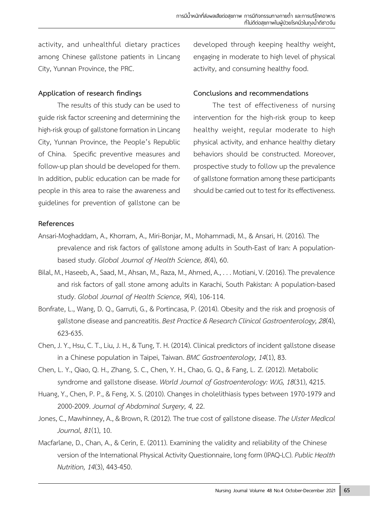activity, and unhealthful dietary practices among Chinese gallstone patients in Lincang City, Yunnan Province, the PRC.

#### **Application of research findings**

The results of this study can be used to guide risk factor screening and determining the high-risk group of gallstone formation in Lincang City, Yunnan Province, the People's Republic of China. Specific preventive measures and follow-up plan should be developed for them. In addition, public education can be made for people in this area to raise the awareness and guidelines for prevention of gallstone can be

developed through keeping healthy weight, engaging in moderate to high level of physical activity, and consuming healthy food.

#### **Conclusions and recommendations**

The test of effectiveness of nursing intervention for the high-risk group to keep healthy weight, regular moderate to high physical activity, and enhance healthy dietary behaviors should be constructed. Moreover, prospective study to follow up the prevalence of gallstone formation among these participants should be carried out to test for its effectiveness.

#### **References**

- Ansari-Moghaddam, A., Khorram, A., Miri-Bonjar, M., Mohammadi, M., & Ansari, H. (2016). The prevalence and risk factors of gallstone among adults in South-East of Iran: A populationbased study. *Global Journal of Health Science, 8*(4), 60.
- Bilal, M., Haseeb, A., Saad, M., Ahsan, M., Raza, M., Ahmed, A., . . . Motiani, V. (2016). The prevalence and risk factors of gall stone among adults in Karachi, South Pakistan: A population-based study. *Global Journal of Health Science, 9*(4), 106-114.
- Bonfrate, L., Wang, D. Q., Garruti, G., & Portincasa, P. (2014). Obesity and the risk and prognosis of gallstone disease and pancreatitis. *Best Practice & Research Clinical Gastroenterology, 28*(4), 623-635.
- Chen, J. Y., Hsu, C. T., Liu, J. H., & Tung, T. H. (2014). Clinical predictors of incident gallstone disease in a Chinese population in Taipei, Taiwan. *BMC Gastroenterology, 14*(1), 83.
- Chen, L. Y., Qiao, Q. H., Zhang, S. C., Chen, Y. H., Chao, G. Q., & Fang, L. Z. (2012). Metabolic syndrome and gallstone disease. *World Journal of Gastroenterology: WJG, 18*(31), 4215.
- Huang, Y., Chen, P. P., & Feng, X. S. (2010). Changes in cholelithiasis types between 1970-1979 and 2000-2009. *Journal of Abdominal Surgery, 4,* 22.
- Jones, C., Mawhinney, A., & Brown, R. (2012). The true cost of gallstone disease. *The Ulster Medical Journal, 81*(1), 10.
- Macfarlane, D., Chan, A., & Cerin, E. (2011). Examining the validity and reliability of the Chinese version of the International Physical Activity Questionnaire, long form (IPAQ-LC). *Public Health Nutrition, 14*(3), 443-450.